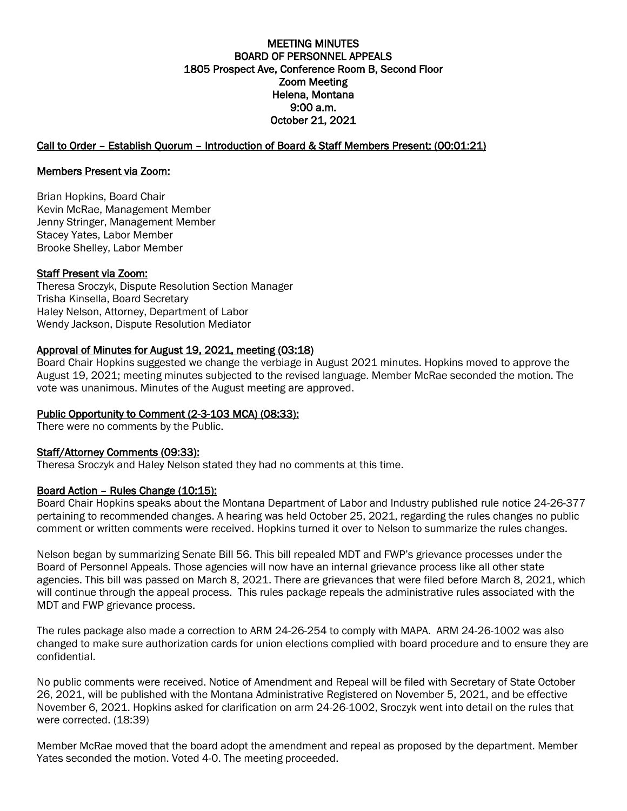## MEETING MINUTES BOARD OF PERSONNEL APPEALS 1805 Prospect Ave, Conference Room B, Second Floor Zoom Meeting Helena, Montana 9:00 a.m. October 21, 2021

# Call to Order – Establish Quorum – Introduction of Board & Staff Members Present: (00:01:21)

## Members Present via Zoom:

Brian Hopkins, Board Chair Kevin McRae, Management Member Jenny Stringer, Management Member Stacey Yates, Labor Member Brooke Shelley, Labor Member

### Staff Present via Zoom:

Theresa Sroczyk, Dispute Resolution Section Manager Trisha Kinsella, Board Secretary Haley Nelson, Attorney, Department of Labor Wendy Jackson, Dispute Resolution Mediator

### Approval of Minutes for August 19, 2021, meeting (03:18)

Board Chair Hopkins suggested we change the verbiage in August 2021 minutes. Hopkins moved to approve the August 19, 2021; meeting minutes subjected to the revised language. Member McRae seconded the motion. The vote was unanimous. Minutes of the August meeting are approved.

## Public Opportunity to Comment (2-3-103 MCA) (08:33):

There were no comments by the Public.

#### Staff/Attorney Comments (09:33):

Theresa Sroczyk and Haley Nelson stated they had no comments at this time.

## Board Action - Rules Change (10:15):

Board Chair Hopkins speaks about the Montana Department of Labor and Industry published rule notice 24-26-377 pertaining to recommended changes. A hearing was held October 25, 2021, regarding the rules changes no public comment or written comments were received. Hopkins turned it over to Nelson to summarize the rules changes.

Nelson began by summarizing Senate Bill 56. This bill repealed MDT and FWP's grievance processes under the Board of Personnel Appeals. Those agencies will now have an internal grievance process like all other state agencies. This bill was passed on March 8, 2021. There are grievances that were filed before March 8, 2021, which will continue through the appeal process. This rules package repeals the administrative rules associated with the MDT and FWP grievance process.

The rules package also made a correction to ARM 24-26-254 to comply with MAPA. ARM 24-26-1002 was also changed to make sure authorization cards for union elections complied with board procedure and to ensure they are confidential.

No public comments were received. Notice of Amendment and Repeal will be filed with Secretary of State October 26, 2021, will be published with the Montana Administrative Registered on November 5, 2021, and be effective November 6, 2021. Hopkins asked for clarification on arm 24-26-1002, Sroczyk went into detail on the rules that were corrected. (18:39)

Member McRae moved that the board adopt the amendment and repeal as proposed by the department. Member Yates seconded the motion. Voted 4-0. The meeting proceeded.